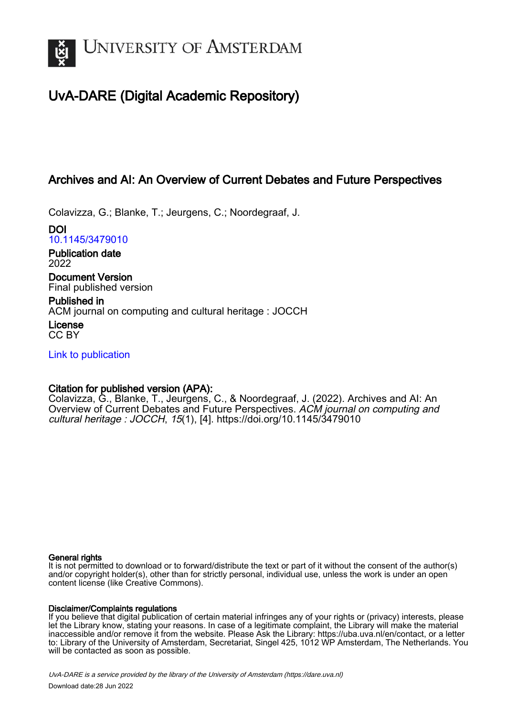

# UvA-DARE (Digital Academic Repository)

# Archives and AI: An Overview of Current Debates and Future Perspectives

Colavizza, G.; Blanke, T.; Jeurgens, C.; Noordegraaf, J.

DOI [10.1145/3479010](https://doi.org/10.1145/3479010)

Publication date 2022

Document Version Final published version

Published in ACM journal on computing and cultural heritage : JOCCH License CC BY

[Link to publication](https://dare.uva.nl/personal/pure/en/publications/archives-and-ai-an-overview-of-current-debates-and-future-perspectives(ab9c2b4a-0f1e-49c6-b881-68920e471119).html)

# Citation for published version (APA):

Colavizza, G., Blanke, T., Jeurgens, C., & Noordegraaf, J. (2022). Archives and AI: An Overview of Current Debates and Future Perspectives. ACM journal on computing and cultural heritage : JOCCH, 15(1), [4]. <https://doi.org/10.1145/3479010>

# General rights

It is not permitted to download or to forward/distribute the text or part of it without the consent of the author(s) and/or copyright holder(s), other than for strictly personal, individual use, unless the work is under an open content license (like Creative Commons).

# Disclaimer/Complaints regulations

If you believe that digital publication of certain material infringes any of your rights or (privacy) interests, please let the Library know, stating your reasons. In case of a legitimate complaint, the Library will make the material inaccessible and/or remove it from the website. Please Ask the Library: https://uba.uva.nl/en/contact, or a letter to: Library of the University of Amsterdam, Secretariat, Singel 425, 1012 WP Amsterdam, The Netherlands. You will be contacted as soon as possible.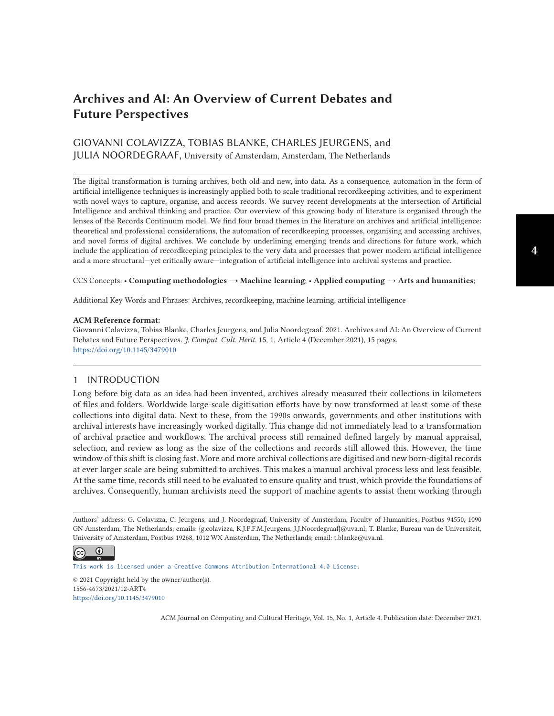# **Archives and AI: An Overview of Current Debates and Future Perspectives**

# GIOVANNI COLAVIZZA, TOBIAS BLANKE, CHARLES JEURGENS, and JULIA NOORDEGRAAF, University of Amsterdam, Amsterdam, The Netherlands

The digital transformation is turning archives, both old and new, into data. As a consequence, automation in the form of artificial intelligence techniques is increasingly applied both to scale traditional recordkeeping activities, and to experiment with novel ways to capture, organise, and access records. We survey recent developments at the intersection of Artificial Intelligence and archival thinking and practice. Our overview of this growing body of literature is organised through the lenses of the Records Continuum model. We find four broad themes in the literature on archives and artificial intelligence: theoretical and professional considerations, the automation of recordkeeping processes, organising and accessing archives, and novel forms of digital archives. We conclude by underlining emerging trends and directions for future work, which include the application of recordkeeping principles to the very data and processes that power modern artificial intelligence and a more structural—yet critically aware—integration of artificial intelligence into archival systems and practice.

#### CCS Concepts: • **Computing methodologies** → **Machine learning**; • **Applied computing** → **Arts and humanities**;

Additional Key Words and Phrases: Archives, recordkeeping, machine learning, artificial intelligence

#### **ACM Reference format:**

Giovanni Colavizza, Tobias Blanke, Charles Jeurgens, and Julia Noordegraaf. 2021. Archives and AI: An Overview of Current Debates and Future Perspectives. *J. Comput. Cult. Herit.* 15, 1, Article 4 (December 2021), 15 pages. <https://doi.org/10.1145/3479010>

## 1 INTRODUCTION

Long before big data as an idea had been invented, archives already measured their collections in kilometers of files and folders. Worldwide large-scale digitisation efforts have by now transformed at least some of these collections into digital data. Next to these, from the 1990s onwards, governments and other institutions with archival interests have increasingly worked digitally. This change did not immediately lead to a transformation of archival practice and workflows. The archival process still remained defined largely by manual appraisal, selection, and review as long as the size of the collections and records still allowed this. However, the time window of this shift is closing fast. More and more archival collections are digitised and new born-digital records at ever larger scale are being submitted to archives. This makes a manual archival process less and less feasible. At the same time, records still need to be evaluated to ensure quality and trust, which provide the foundations of archives. Consequently, human archivists need the support of machine agents to assist them working through

Authors' address: G. Colavizza, C. Jeurgens, and J. Noordegraaf, University of Amsterdam, Faculty of Humanities, Postbus 94550, 1090 GN Amsterdam, The Netherlands; emails: {g.colavizza, K.J.P.F.M.Jeurgens, J.J.Noordegraaf}@uva.nl; T. Blanke, Bureau van de Universiteit, University of Amsterdam, Postbus 19268, 1012 WX Amsterdam, The Netherlands; email: t.blanke@uva.nl.

 $\bigcirc$ (cc)

[This work is licensed under a Creative Commons Attribution International 4.0 License.](https://creativecommons.org/licenses/by/4.0/)

© 2021 Copyright held by the owner/author(s). 1556-4673/2021/12-ART4 <https://doi.org/10.1145/3479010>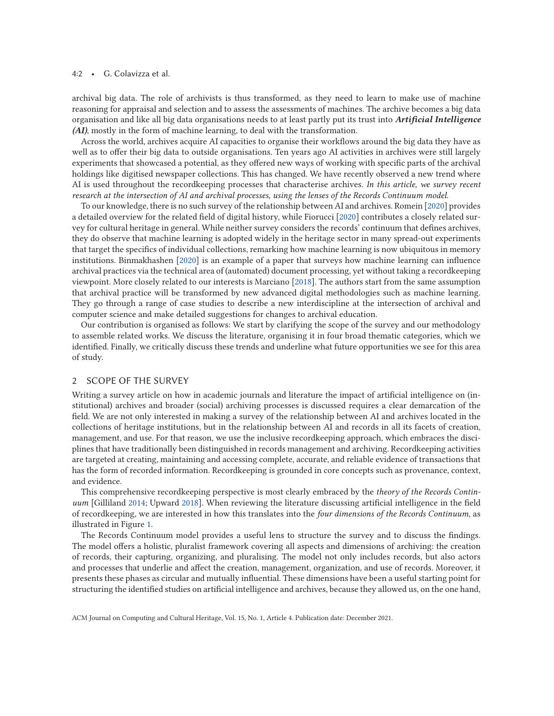#### 4:2 • G. Colavizza et al.

archival big data. The role of archivists is thus transformed, as they need to learn to make use of machine reasoning for appraisal and selection and to assess the assessments of machines. The archive becomes a big data organisation and like all big data organisations needs to at least partly put its trust into *Artificial Intelligence (AI)*, mostly in the form of machine learning, to deal with the transformation.

Across the world, archives acquire AI capacities to organise their workflows around the big data they have as well as to offer their big data to outside organisations. Ten years ago AI activities in archives were still largely experiments that showcased a potential, as they offered new ways of working with specific parts of the archival holdings like digitised newspaper collections. This has changed. We have recently observed a new trend where AI is used throughout the recordkeeping processes that characterise archives. *In this article, we survey recent research at the intersection of AI and archival processes, using the lenses of the Records Continuum model*.

To our knowledge, there is no such survey of the relationship between AI and archives. Romein [\[2020\]](#page-14-0) provides a detailed overview for the related field of digital history, while Fiorucci [\[2020\]](#page-13-0) contributes a closely related survey for cultural heritage in general. While neither survey considers the records' continuum that defines archives, they do observe that machine learning is adopted widely in the heritage sector in many spread-out experiments that target the specifics of individual collections, remarking how machine learning is now ubiquitous in memory institutions. Binmakhashen [\[2020\]](#page-13-0) is an example of a paper that surveys how machine learning can influence archival practices via the technical area of (automated) document processing, yet without taking a recordkeeping viewpoint. More closely related to our interests is Marciano [\[2018\]](#page-14-0). The authors start from the same assumption that archival practice will be transformed by new advanced digital methodologies such as machine learning. They go through a range of case studies to describe a new interdiscipline at the intersection of archival and computer science and make detailed suggestions for changes to archival education.

Our contribution is organised as follows: We start by clarifying the scope of the survey and our methodology to assemble related works. We discuss the literature, organising it in four broad thematic categories, which we identified. Finally, we critically discuss these trends and underline what future opportunities we see for this area of study.

#### 2 SCOPE OF THE SURVEY

Writing a survey article on how in academic journals and literature the impact of artificial intelligence on (institutional) archives and broader (social) archiving processes is discussed requires a clear demarcation of the field. We are not only interested in making a survey of the relationship between AI and archives located in the collections of heritage institutions, but in the relationship between AI and records in all its facets of creation, management, and use. For that reason, we use the inclusive recordkeeping approach, which embraces the disciplines that have traditionally been distinguished in records management and archiving. Recordkeeping activities are targeted at creating, maintaining and accessing complete, accurate, and reliable evidence of transactions that has the form of recorded information. Recordkeeping is grounded in core concepts such as provenance, context, and evidence.

This comprehensive recordkeeping perspective is most clearly embraced by the *theory of the Records Continuum* [Gilliland [2014;](#page-13-0) Upward [2018\]](#page-15-0). When reviewing the literature discussing artificial intelligence in the field of recordkeeping, we are interested in how this translates into the *four dimensions of the Records Continuum*, as illustrated in Figure [1.](#page-3-0)

The Records Continuum model provides a useful lens to structure the survey and to discuss the findings. The model offers a holistic, pluralist framework covering all aspects and dimensions of archiving: the creation of records, their capturing, organizing, and pluralising. The model not only includes records, but also actors and processes that underlie and affect the creation, management, organization, and use of records. Moreover, it presents these phases as circular and mutually influential. These dimensions have been a useful starting point for structuring the identified studies on artificial intelligence and archives, because they allowed us, on the one hand,

ACM Journal on Computing and Cultural Heritage, Vol. 15, No. 1, Article 4. Publication date: December 2021.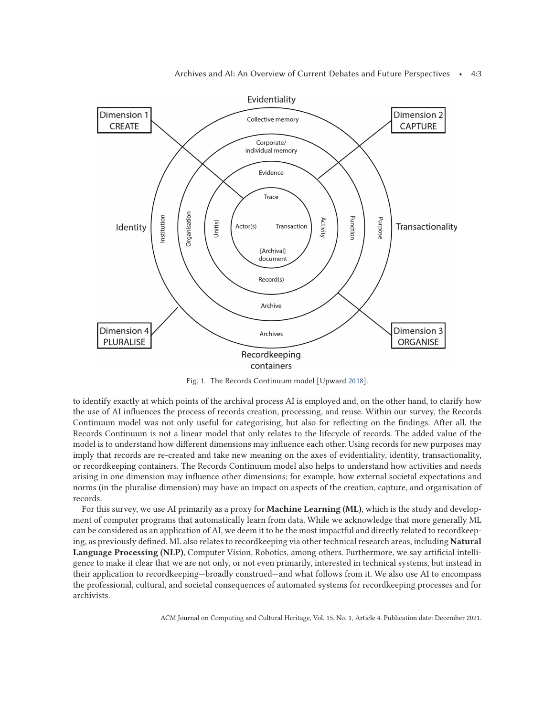<span id="page-3-0"></span>

Fig. 1. The Records Continuum model [Upward [2018\]](#page-15-0).

to identify exactly at which points of the archival process AI is employed and, on the other hand, to clarify how the use of AI influences the process of records creation, processing, and reuse. Within our survey, the Records Continuum model was not only useful for categorising, but also for reflecting on the findings. After all, the Records Continuum is not a linear model that only relates to the lifecycle of records. The added value of the model is to understand how different dimensions may influence each other. Using records for new purposes may imply that records are re-created and take new meaning on the axes of evidentiality, identity, transactionality, or recordkeeping containers. The Records Continuum model also helps to understand how activities and needs arising in one dimension may influence other dimensions; for example, how external societal expectations and norms (in the pluralise dimension) may have an impact on aspects of the creation, capture, and organisation of records.

For this survey, we use AI primarily as a proxy for **Machine Learning (ML)**, which is the study and development of computer programs that automatically learn from data. While we acknowledge that more generally ML can be considered as an application of AI, we deem it to be the most impactful and directly related to recordkeeping, as previously defined. ML also relates to recordkeeping via other technical research areas, including **Natural Language Processing (NLP)**, Computer Vision, Robotics, among others. Furthermore, we say artificial intelligence to make it clear that we are not only, or not even primarily, interested in technical systems, but instead in their application to recordkeeping—broadly construed—and what follows from it. We also use AI to encompass the professional, cultural, and societal consequences of automated systems for recordkeeping processes and for archivists.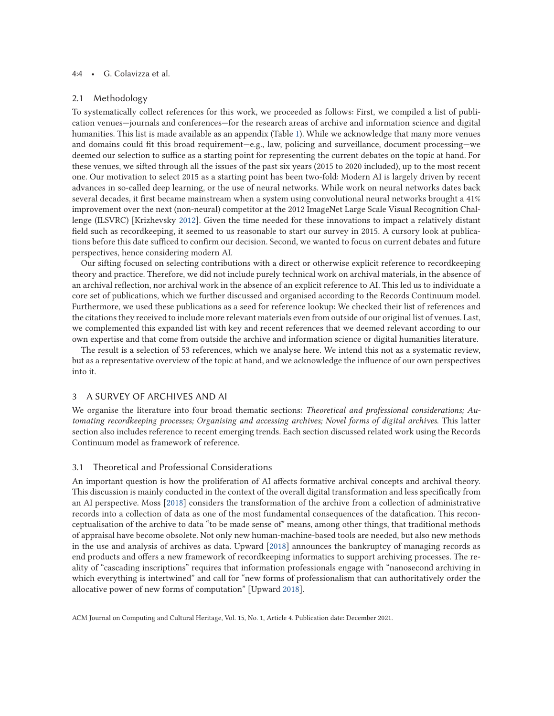### 4:4 • G. Colavizza et al.

#### 2.1 Methodology

To systematically collect references for this work, we proceeded as follows: First, we compiled a list of publication venues—journals and conferences—for the research areas of archive and information science and digital humanities. This list is made available as an appendix (Table [1\)](#page-11-0). While we acknowledge that many more venues and domains could fit this broad requirement—e.g., law, policing and surveillance, document processing—we deemed our selection to suffice as a starting point for representing the current debates on the topic at hand. For these venues, we sifted through all the issues of the past six years (2015 to 2020 included), up to the most recent one. Our motivation to select 2015 as a starting point has been two-fold: Modern AI is largely driven by recent advances in so-called deep learning, or the use of neural networks. While work on neural networks dates back several decades, it first became mainstream when a system using convolutional neural networks brought a 41% improvement over the next (non-neural) competitor at the 2012 ImageNet Large Scale Visual Recognition Challenge (ILSVRC) [Krizhevsky [2012\]](#page-14-0). Given the time needed for these innovations to impact a relatively distant field such as recordkeeping, it seemed to us reasonable to start our survey in 2015. A cursory look at publications before this date sufficed to confirm our decision. Second, we wanted to focus on current debates and future perspectives, hence considering modern AI.

Our sifting focused on selecting contributions with a direct or otherwise explicit reference to recordkeeping theory and practice. Therefore, we did not include purely technical work on archival materials, in the absence of an archival reflection, nor archival work in the absence of an explicit reference to AI. This led us to individuate a core set of publications, which we further discussed and organised according to the Records Continuum model. Furthermore, we used these publications as a seed for reference lookup: We checked their list of references and the citations they received to include more relevant materials even from outside of our original list of venues. Last, we complemented this expanded list with key and recent references that we deemed relevant according to our own expertise and that come from outside the archive and information science or digital humanities literature.

The result is a selection of 53 references, which we analyse here. We intend this not as a systematic review, but as a representative overview of the topic at hand, and we acknowledge the influence of our own perspectives into it.

#### 3 A SURVEY OF ARCHIVES AND AI

We organise the literature into four broad thematic sections: *Theoretical and professional considerations; Automating recordkeeping processes; Organising and accessing archives; Novel forms of digital archives*. This latter section also includes reference to recent emerging trends. Each section discussed related work using the Records Continuum model as framework of reference.

# 3.1 Theoretical and Professional Considerations

An important question is how the proliferation of AI affects formative archival concepts and archival theory. This discussion is mainly conducted in the context of the overall digital transformation and less specifically from an AI perspective. Moss [\[2018\]](#page-14-0) considers the transformation of the archive from a collection of administrative records into a collection of data as one of the most fundamental consequences of the datafication. This reconceptualisation of the archive to data "to be made sense of" means, among other things, that traditional methods of appraisal have become obsolete. Not only new human-machine-based tools are needed, but also new methods in the use and analysis of archives as data. Upward [\[2018\]](#page-15-0) announces the bankruptcy of managing records as end products and offers a new framework of recordkeeping informatics to support archiving processes. The reality of "cascading inscriptions" requires that information professionals engage with "nanosecond archiving in which everything is intertwined" and call for "new forms of professionalism that can authoritatively order the allocative power of new forms of computation" [Upward [2018\]](#page-15-0).

ACM Journal on Computing and Cultural Heritage, Vol. 15, No. 1, Article 4. Publication date: December 2021.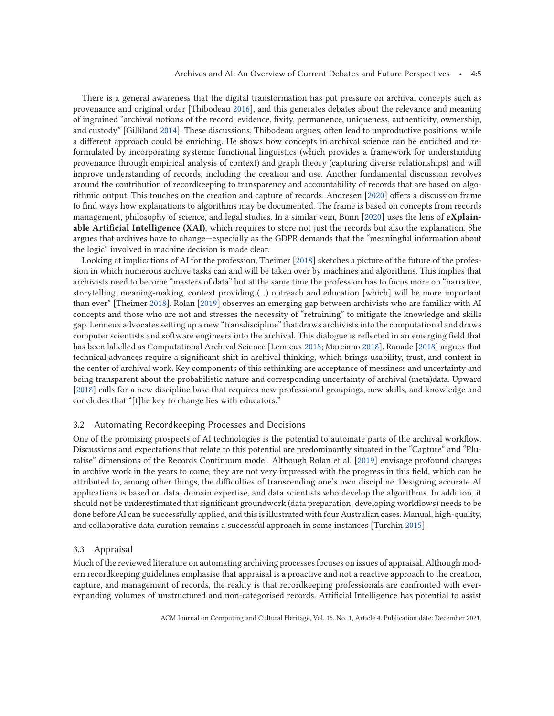There is a general awareness that the digital transformation has put pressure on archival concepts such as provenance and original order [Thibodeau [2016\]](#page-15-0), and this generates debates about the relevance and meaning of ingrained "archival notions of the record, evidence, fixity, permanence, uniqueness, authenticity, ownership, and custody" [Gilliland [2014\]](#page-13-0). These discussions, Thibodeau argues, often lead to unproductive positions, while a different approach could be enriching. He shows how concepts in archival science can be enriched and reformulated by incorporating systemic functional linguistics (which provides a framework for understanding provenance through empirical analysis of context) and graph theory (capturing diverse relationships) and will improve understanding of records, including the creation and use. Another fundamental discussion revolves around the contribution of recordkeeping to transparency and accountability of records that are based on algorithmic output. This touches on the creation and capture of records. Andresen [\[2020\]](#page-13-0) offers a discussion frame to find ways how explanations to algorithms may be documented. The frame is based on concepts from records management, philosophy of science, and legal studies. In a similar vein, Bunn [\[2020\]](#page-13-0) uses the lens of **eXplainable Artificial Intelligence (XAI)**, which requires to store not just the records but also the explanation. She argues that archives have to change—especially as the GDPR demands that the "meaningful information about the logic" involved in machine decision is made clear.

Looking at implications of AI for the profession, Theimer [\[2018\]](#page-15-0) sketches a picture of the future of the profession in which numerous archive tasks can and will be taken over by machines and algorithms. This implies that archivists need to become "masters of data" but at the same time the profession has to focus more on "narrative, storytelling, meaning-making, context providing (...) outreach and education [which] will be more important than ever" [Theimer [2018\]](#page-15-0). Rolan [\[2019\]](#page-14-0) observes an emerging gap between archivists who are familiar with AI concepts and those who are not and stresses the necessity of "retraining" to mitigate the knowledge and skills gap. Lemieux advocates setting up a new "transdiscipline" that draws archivists into the computational and draws computer scientists and software engineers into the archival. This dialogue is reflected in an emerging field that has been labelled as Computational Archival Science [Lemieux [2018;](#page-14-0) Marciano [2018\]](#page-14-0). Ranade [\[2018\]](#page-14-0) argues that technical advances require a significant shift in archival thinking, which brings usability, trust, and context in the center of archival work. Key components of this rethinking are acceptance of messiness and uncertainty and being transparent about the probabilistic nature and corresponding uncertainty of archival (meta)data. Upward [\[2018\]](#page-15-0) calls for a new discipline base that requires new professional groupings, new skills, and knowledge and concludes that "[t]he key to change lies with educators."

### 3.2 Automating Recordkeeping Processes and Decisions

One of the promising prospects of AI technologies is the potential to automate parts of the archival workflow. Discussions and expectations that relate to this potential are predominantly situated in the "Capture" and "Pluralise" dimensions of the Records Continuum model. Although Rolan et al. [\[2019\]](#page-14-0) envisage profound changes in archive work in the years to come, they are not very impressed with the progress in this field, which can be attributed to, among other things, the difficulties of transcending one's own discipline. Designing accurate AI applications is based on data, domain expertise, and data scientists who develop the algorithms. In addition, it should not be underestimated that significant groundwork (data preparation, developing workflows) needs to be done before AI can be successfully applied, and this is illustrated with four Australian cases. Manual, high-quality, and collaborative data curation remains a successful approach in some instances [Turchin [2015\]](#page-15-0).

### 3.3 Appraisal

Much of the reviewed literature on automating archiving processes focuses on issues of appraisal. Although modern recordkeeping guidelines emphasise that appraisal is a proactive and not a reactive approach to the creation, capture, and management of records, the reality is that recordkeeping professionals are confronted with everexpanding volumes of unstructured and non-categorised records. Artificial Intelligence has potential to assist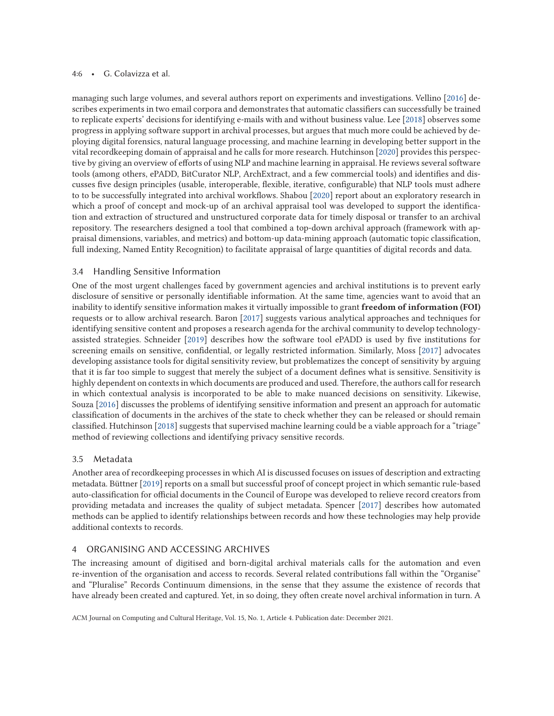### 4:6 • G. Colavizza et al.

managing such large volumes, and several authors report on experiments and investigations. Vellino [\[2016\]](#page-15-0) describes experiments in two email corpora and demonstrates that automatic classifiers can successfully be trained to replicate experts' decisions for identifying e-mails with and without business value. Lee [\[2018\]](#page-14-0) observes some progress in applying software support in archival processes, but argues that much more could be achieved by deploying digital forensics, natural language processing, and machine learning in developing better support in the vital recordkeeping domain of appraisal and he calls for more research. Hutchinson [\[2020\]](#page-13-0) provides this perspective by giving an overview of efforts of using NLP and machine learning in appraisal. He reviews several software tools (among others, ePADD, BitCurator NLP, ArchExtract, and a few commercial tools) and identifies and discusses five design principles (usable, interoperable, flexible, iterative, configurable) that NLP tools must adhere to to be successfully integrated into archival workflows. Shabou [\[2020\]](#page-14-0) report about an exploratory research in which a proof of concept and mock-up of an archival appraisal tool was developed to support the identification and extraction of structured and unstructured corporate data for timely disposal or transfer to an archival repository. The researchers designed a tool that combined a top-down archival approach (framework with appraisal dimensions, variables, and metrics) and bottom-up data-mining approach (automatic topic classification, full indexing, Named Entity Recognition) to facilitate appraisal of large quantities of digital records and data.

#### 3.4 Handling Sensitive Information

One of the most urgent challenges faced by government agencies and archival institutions is to prevent early disclosure of sensitive or personally identifiable information. At the same time, agencies want to avoid that an inability to identify sensitive information makes it virtually impossible to grant **freedom of information (FOI)** requests or to allow archival research. Baron [\[2017\]](#page-13-0) suggests various analytical approaches and techniques for identifying sensitive content and proposes a research agenda for the archival community to develop technologyassisted strategies. Schneider [\[2019\]](#page-14-0) describes how the software tool ePADD is used by five institutions for screening emails on sensitive, confidential, or legally restricted information. Similarly, Moss [\[2017\]](#page-14-0) advocates developing assistance tools for digital sensitivity review, but problematizes the concept of sensitivity by arguing that it is far too simple to suggest that merely the subject of a document defines what is sensitive. Sensitivity is highly dependent on contexts in which documents are produced and used. Therefore, the authors call for research in which contextual analysis is incorporated to be able to make nuanced decisions on sensitivity. Likewise, Souza [\[2016\]](#page-14-0) discusses the problems of identifying sensitive information and present an approach for automatic classification of documents in the archives of the state to check whether they can be released or should remain classified. Hutchinson [\[2018\]](#page-13-0) suggests that supervised machine learning could be a viable approach for a "triage" method of reviewing collections and identifying privacy sensitive records.

#### 3.5 Metadata

Another area of recordkeeping processes in which AI is discussed focuses on issues of description and extracting metadata. Büttner [\[2019\]](#page-13-0) reports on a small but successful proof of concept project in which semantic rule-based auto-classification for official documents in the Council of Europe was developed to relieve record creators from providing metadata and increases the quality of subject metadata. Spencer [\[2017\]](#page-15-0) describes how automated methods can be applied to identify relationships between records and how these technologies may help provide additional contexts to records.

## 4 ORGANISING AND ACCESSING ARCHIVES

The increasing amount of digitised and born-digital archival materials calls for the automation and even re-invention of the organisation and access to records. Several related contributions fall within the "Organise" and "Pluralise" Records Continuum dimensions, in the sense that they assume the existence of records that have already been created and captured. Yet, in so doing, they often create novel archival information in turn. A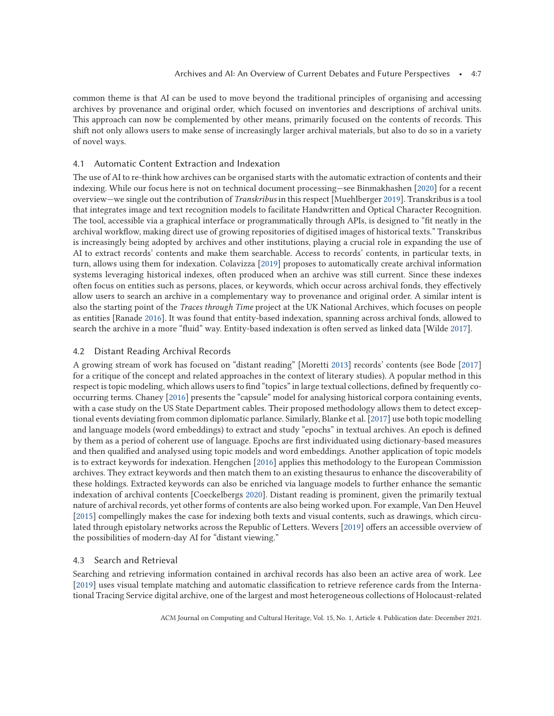common theme is that AI can be used to move beyond the traditional principles of organising and accessing archives by provenance and original order, which focused on inventories and descriptions of archival units. This approach can now be complemented by other means, primarily focused on the contents of records. This shift not only allows users to make sense of increasingly larger archival materials, but also to do so in a variety of novel ways.

#### 4.1 Automatic Content Extraction and Indexation

The use of AI to re-think how archives can be organised starts with the automatic extraction of contents and their indexing. While our focus here is not on technical document processing—see Binmakhashen [\[2020\]](#page-13-0) for a recent overview—we single out the contribution of *Transkribus* in this respect [Muehlberger [2019\]](#page-14-0). Transkribus is a tool that integrates image and text recognition models to facilitate Handwritten and Optical Character Recognition. The tool, accessible via a graphical interface or programmatically through APIs, is designed to "fit neatly in the archival workflow, making direct use of growing repositories of digitised images of historical texts." Transkribus is increasingly being adopted by archives and other institutions, playing a crucial role in expanding the use of AI to extract records' contents and make them searchable. Access to records' contents, in particular texts, in turn, allows using them for indexation. Colavizza [\[2019\]](#page-13-0) proposes to automatically create archival information systems leveraging historical indexes, often produced when an archive was still current. Since these indexes often focus on entities such as persons, places, or keywords, which occur across archival fonds, they effectively allow users to search an archive in a complementary way to provenance and original order. A similar intent is also the starting point of the *Traces through Time* project at the UK National Archives, which focuses on people as entities [Ranade [2016\]](#page-14-0). It was found that entity-based indexation, spanning across archival fonds, allowed to search the archive in a more "fluid" way. Entity-based indexation is often served as linked data [Wilde [2017\]](#page-15-0).

#### 4.2 Distant Reading Archival Records

A growing stream of work has focused on "distant reading" [Moretti [2013\]](#page-14-0) records' contents (see Bode [\[2017\]](#page-13-0) for a critique of the concept and related approaches in the context of literary studies). A popular method in this respect is topic modeling, which allows users to find "topics" in large textual collections, defined by frequently cooccurring terms. Chaney [\[2016\]](#page-13-0) presents the "capsule" model for analysing historical corpora containing events, with a case study on the US State Department cables. Their proposed methodology allows them to detect exceptional events deviating from common diplomatic parlance. Similarly, Blanke et al. [\[2017\]](#page-13-0) use both topic modelling and language models (word embeddings) to extract and study "epochs" in textual archives. An epoch is defined by them as a period of coherent use of language. Epochs are first individuated using dictionary-based measures and then qualified and analysed using topic models and word embeddings. Another application of topic models is to extract keywords for indexation. Hengchen [\[2016\]](#page-13-0) applies this methodology to the European Commission archives. They extract keywords and then match them to an existing thesaurus to enhance the discoverability of these holdings. Extracted keywords can also be enriched via language models to further enhance the semantic indexation of archival contents [Coeckelbergs [2020\]](#page-13-0). Distant reading is prominent, given the primarily textual nature of archival records, yet other forms of contents are also being worked upon. For example, Van Den Heuvel [\[2015\]](#page-15-0) compellingly makes the case for indexing both texts and visual contents, such as drawings, which circulated through epistolary networks across the Republic of Letters. Wevers [\[2019\]](#page-15-0) offers an accessible overview of the possibilities of modern-day AI for "distant viewing."

#### 4.3 Search and Retrieval

Searching and retrieving information contained in archival records has also been an active area of work. Lee [\[2019\]](#page-14-0) uses visual template matching and automatic classification to retrieve reference cards from the International Tracing Service digital archive, one of the largest and most heterogeneous collections of Holocaust-related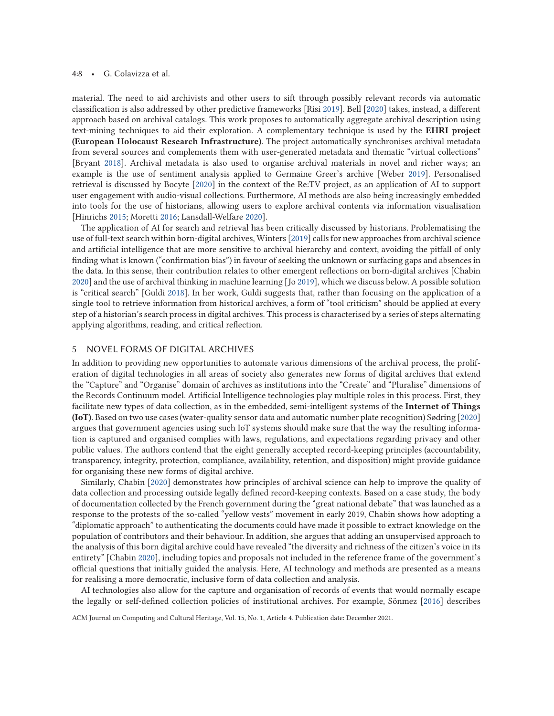#### 4:8 • G. Colavizza et al.

material. The need to aid archivists and other users to sift through possibly relevant records via automatic classification is also addressed by other predictive frameworks [Risi [2019\]](#page-14-0). Bell [\[2020\]](#page-13-0) takes, instead, a different approach based on archival catalogs. This work proposes to automatically aggregate archival description using text-mining techniques to aid their exploration. A complementary technique is used by the **EHRI project (European Holocaust Research Infrastructure)**. The project automatically synchronises archival metadata from several sources and complements them with user-generated metadata and thematic "virtual collections" [Bryant [2018\]](#page-13-0). Archival metadata is also used to organise archival materials in novel and richer ways; an example is the use of sentiment analysis applied to Germaine Greer's archive [Weber [2019\]](#page-15-0). Personalised retrieval is discussed by Bocyte [\[2020\]](#page-13-0) in the context of the Re:TV project, as an application of AI to support user engagement with audio-visual collections. Furthermore, AI methods are also being increasingly embedded into tools for the use of historians, allowing users to explore archival contents via information visualisation [Hinrichs [2015;](#page-13-0) Moretti [2016;](#page-14-0) Lansdall-Welfare [2020\]](#page-14-0).

The application of AI for search and retrieval has been critically discussed by historians. Problematising the use of full-text search within born-digital archives, Winters [\[2019\]](#page-15-0) calls for new approaches from archival science and artificial intelligence that are more sensitive to archival hierarchy and context, avoiding the pitfall of only finding what is known ("confirmation bias") in favour of seeking the unknown or surfacing gaps and absences in the data. In this sense, their contribution relates to other emergent reflections on born-digital archives [Chabin [2020\]](#page-13-0) and the use of archival thinking in machine learning [Jo [2019\]](#page-14-0), which we discuss below. A possible solution is "critical search" [Guldi [2018\]](#page-13-0). In her work, Guldi suggests that, rather than focusing on the application of a single tool to retrieve information from historical archives, a form of "tool criticism" should be applied at every step of a historian's search process in digital archives. This process is characterised by a series of steps alternating applying algorithms, reading, and critical reflection.

## 5 NOVEL FORMS OF DIGITAL ARCHIVES

In addition to providing new opportunities to automate various dimensions of the archival process, the proliferation of digital technologies in all areas of society also generates new forms of digital archives that extend the "Capture" and "Organise" domain of archives as institutions into the "Create" and "Pluralise" dimensions of the Records Continuum model. Artificial Intelligence technologies play multiple roles in this process. First, they facilitate new types of data collection, as in the embedded, semi-intelligent systems of the **Internet of Things (IoT)**. Based on two use cases (water-quality sensor data and automatic number plate recognition) Sødring [\[2020\]](#page-14-0) argues that government agencies using such IoT systems should make sure that the way the resulting information is captured and organised complies with laws, regulations, and expectations regarding privacy and other public values. The authors contend that the eight generally accepted record-keeping principles (accountability, transparency, integrity, protection, compliance, availability, retention, and disposition) might provide guidance for organising these new forms of digital archive.

Similarly, Chabin [\[2020\]](#page-13-0) demonstrates how principles of archival science can help to improve the quality of data collection and processing outside legally defined record-keeping contexts. Based on a case study, the body of documentation collected by the French government during the "great national debate" that was launched as a response to the protests of the so-called "yellow vests" movement in early 2019, Chabin shows how adopting a "diplomatic approach" to authenticating the documents could have made it possible to extract knowledge on the population of contributors and their behaviour. In addition, she argues that adding an unsupervised approach to the analysis of this born digital archive could have revealed "the diversity and richness of the citizen's voice in its entirety" [Chabin [2020\]](#page-13-0), including topics and proposals not included in the reference frame of the government's official questions that initially guided the analysis. Here, AI technology and methods are presented as a means for realising a more democratic, inclusive form of data collection and analysis.

AI technologies also allow for the capture and organisation of records of events that would normally escape the legally or self-defined collection policies of institutional archives. For example, Sönmez [\[2016\]](#page-14-0) describes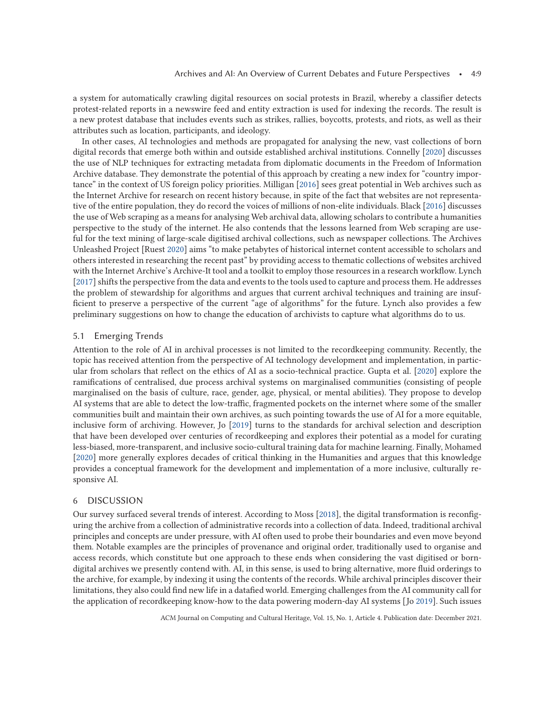a system for automatically crawling digital resources on social protests in Brazil, whereby a classifier detects protest-related reports in a newswire feed and entity extraction is used for indexing the records. The result is a new protest database that includes events such as strikes, rallies, boycotts, protests, and riots, as well as their attributes such as location, participants, and ideology.

In other cases, AI technologies and methods are propagated for analysing the new, vast collections of born digital records that emerge both within and outside established archival institutions. Connelly [\[2020\]](#page-13-0) discusses the use of NLP techniques for extracting metadata from diplomatic documents in the Freedom of Information Archive database. They demonstrate the potential of this approach by creating a new index for "country importance" in the context of US foreign policy priorities. Milligan [\[2016\]](#page-14-0) sees great potential in Web archives such as the Internet Archive for research on recent history because, in spite of the fact that websites are not representative of the entire population, they do record the voices of millions of non-elite individuals. Black [\[2016\]](#page-13-0) discusses the use of Web scraping as a means for analysing Web archival data, allowing scholars to contribute a humanities perspective to the study of the internet. He also contends that the lessons learned from Web scraping are useful for the text mining of large-scale digitised archival collections, such as newspaper collections. The Archives Unleashed Project [Ruest [2020\]](#page-14-0) aims "to make petabytes of historical internet content accessible to scholars and others interested in researching the recent past" by providing access to thematic collections of websites archived with the Internet Archive's Archive-It tool and a toolkit to employ those resources in a research workflow. Lynch [\[2017\]](#page-14-0) shifts the perspective from the data and events to the tools used to capture and process them. He addresses the problem of stewardship for algorithms and argues that current archival techniques and training are insufficient to preserve a perspective of the current "age of algorithms" for the future. Lynch also provides a few preliminary suggestions on how to change the education of archivists to capture what algorithms do to us.

#### 5.1 Emerging Trends

Attention to the role of AI in archival processes is not limited to the recordkeeping community. Recently, the topic has received attention from the perspective of AI technology development and implementation, in particular from scholars that reflect on the ethics of AI as a socio-technical practice. Gupta et al. [\[2020\]](#page-13-0) explore the ramifications of centralised, due process archival systems on marginalised communities (consisting of people marginalised on the basis of culture, race, gender, age, physical, or mental abilities). They propose to develop AI systems that are able to detect the low-traffic, fragmented pockets on the internet where some of the smaller communities built and maintain their own archives, as such pointing towards the use of AI for a more equitable, inclusive form of archiving. However, Jo [\[2019\]](#page-14-0) turns to the standards for archival selection and description that have been developed over centuries of recordkeeping and explores their potential as a model for curating less-biased, more-transparent, and inclusive socio-cultural training data for machine learning. Finally, Mohamed [\[2020\]](#page-14-0) more generally explores decades of critical thinking in the Humanities and argues that this knowledge provides a conceptual framework for the development and implementation of a more inclusive, culturally responsive AI.

#### 6 DISCUSSION

Our survey surfaced several trends of interest. According to Moss [\[2018\]](#page-14-0), the digital transformation is reconfiguring the archive from a collection of administrative records into a collection of data. Indeed, traditional archival principles and concepts are under pressure, with AI often used to probe their boundaries and even move beyond them. Notable examples are the principles of provenance and original order, traditionally used to organise and access records, which constitute but one approach to these ends when considering the vast digitised or borndigital archives we presently contend with. AI, in this sense, is used to bring alternative, more fluid orderings to the archive, for example, by indexing it using the contents of the records. While archival principles discover their limitations, they also could find new life in a datafied world. Emerging challenges from the AI community call for the application of recordkeeping know-how to the data powering modern-day AI systems [Jo [2019\]](#page-14-0). Such issues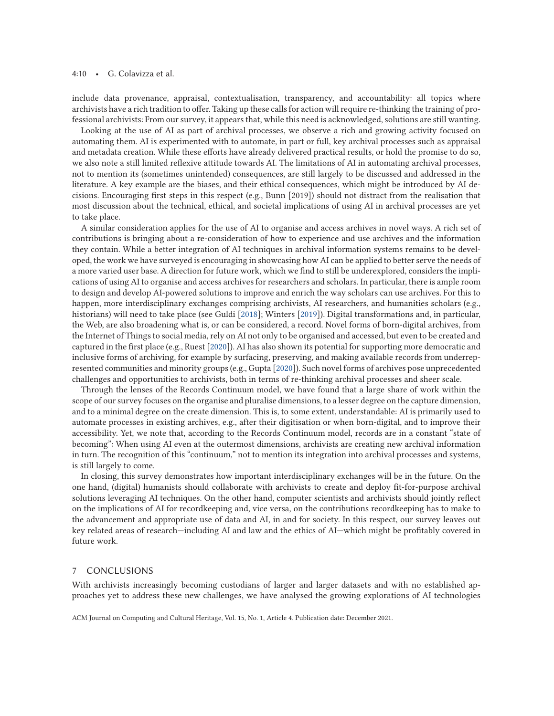#### 4:10 • G. Colavizza et al.

include data provenance, appraisal, contextualisation, transparency, and accountability: all topics where archivists have a rich tradition to offer. Taking up these calls for action will require re-thinking the training of professional archivists: From our survey, it appears that, while this need is acknowledged, solutions are still wanting.

Looking at the use of AI as part of archival processes, we observe a rich and growing activity focused on automating them. AI is experimented with to automate, in part or full, key archival processes such as appraisal and metadata creation. While these efforts have already delivered practical results, or hold the promise to do so, we also note a still limited reflexive attitude towards AI. The limitations of AI in automating archival processes, not to mention its (sometimes unintended) consequences, are still largely to be discussed and addressed in the literature. A key example are the biases, and their ethical consequences, which might be introduced by AI decisions. Encouraging first steps in this respect (e.g., Bunn [2019]) should not distract from the realisation that most discussion about the technical, ethical, and societal implications of using AI in archival processes are yet to take place.

A similar consideration applies for the use of AI to organise and access archives in novel ways. A rich set of contributions is bringing about a re-consideration of how to experience and use archives and the information they contain. While a better integration of AI techniques in archival information systems remains to be developed, the work we have surveyed is encouraging in showcasing how AI can be applied to better serve the needs of a more varied user base. A direction for future work, which we find to still be underexplored, considers the implications of using AI to organise and access archives for researchers and scholars. In particular, there is ample room to design and develop AI-powered solutions to improve and enrich the way scholars can use archives. For this to happen, more interdisciplinary exchanges comprising archivists, AI researchers, and humanities scholars (e.g., historians) will need to take place (see Guldi [\[2018\]](#page-13-0); Winters [\[2019\]](#page-15-0)). Digital transformations and, in particular, the Web, are also broadening what is, or can be considered, a record. Novel forms of born-digital archives, from the Internet of Things to social media, rely on AI not only to be organised and accessed, but even to be created and captured in the first place (e.g., Ruest [\[2020\]](#page-14-0)). AI has also shown its potential for supporting more democratic and inclusive forms of archiving, for example by surfacing, preserving, and making available records from underrepresented communities and minority groups (e.g., Gupta [\[2020\]](#page-13-0)). Such novel forms of archives pose unprecedented challenges and opportunities to archivists, both in terms of re-thinking archival processes and sheer scale.

Through the lenses of the Records Continuum model, we have found that a large share of work within the scope of our survey focuses on the organise and pluralise dimensions, to a lesser degree on the capture dimension, and to a minimal degree on the create dimension. This is, to some extent, understandable: AI is primarily used to automate processes in existing archives, e.g., after their digitisation or when born-digital, and to improve their accessibility. Yet, we note that, according to the Records Continuum model, records are in a constant "state of becoming": When using AI even at the outermost dimensions, archivists are creating new archival information in turn. The recognition of this "continuum," not to mention its integration into archival processes and systems, is still largely to come.

In closing, this survey demonstrates how important interdisciplinary exchanges will be in the future. On the one hand, (digital) humanists should collaborate with archivists to create and deploy fit-for-purpose archival solutions leveraging AI techniques. On the other hand, computer scientists and archivists should jointly reflect on the implications of AI for recordkeeping and, vice versa, on the contributions recordkeeping has to make to the advancement and appropriate use of data and AI, in and for society. In this respect, our survey leaves out key related areas of research—including AI and law and the ethics of AI—which might be profitably covered in future work.

### 7 CONCLUSIONS

With archivists increasingly becoming custodians of larger and larger datasets and with no established approaches yet to address these new challenges, we have analysed the growing explorations of AI technologies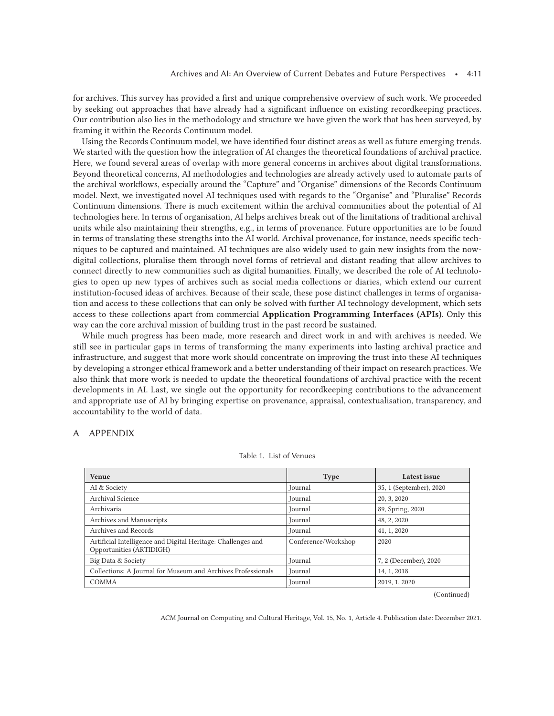<span id="page-11-0"></span>for archives. This survey has provided a first and unique comprehensive overview of such work. We proceeded by seeking out approaches that have already had a significant influence on existing recordkeeping practices. Our contribution also lies in the methodology and structure we have given the work that has been surveyed, by framing it within the Records Continuum model.

Using the Records Continuum model, we have identified four distinct areas as well as future emerging trends. We started with the question how the integration of AI changes the theoretical foundations of archival practice. Here, we found several areas of overlap with more general concerns in archives about digital transformations. Beyond theoretical concerns, AI methodologies and technologies are already actively used to automate parts of the archival workflows, especially around the "Capture" and "Organise" dimensions of the Records Continuum model. Next, we investigated novel AI techniques used with regards to the "Organise" and "Pluralise" Records Continuum dimensions. There is much excitement within the archival communities about the potential of AI technologies here. In terms of organisation, AI helps archives break out of the limitations of traditional archival units while also maintaining their strengths, e.g., in terms of provenance. Future opportunities are to be found in terms of translating these strengths into the AI world. Archival provenance, for instance, needs specific techniques to be captured and maintained. AI techniques are also widely used to gain new insights from the nowdigital collections, pluralise them through novel forms of retrieval and distant reading that allow archives to connect directly to new communities such as digital humanities. Finally, we described the role of AI technologies to open up new types of archives such as social media collections or diaries, which extend our current institution-focused ideas of archives. Because of their scale, these pose distinct challenges in terms of organisation and access to these collections that can only be solved with further AI technology development, which sets access to these collections apart from commercial **Application Programming Interfaces (APIs)**. Only this way can the core archival mission of building trust in the past record be sustained.

While much progress has been made, more research and direct work in and with archives is needed. We still see in particular gaps in terms of transforming the many experiments into lasting archival practice and infrastructure, and suggest that more work should concentrate on improving the trust into these AI techniques by developing a stronger ethical framework and a better understanding of their impact on research practices. We also think that more work is needed to update the theoretical foundations of archival practice with the recent developments in AI. Last, we single out the opportunity for recordkeeping contributions to the advancement and appropriate use of AI by bringing expertise on provenance, appraisal, contextualisation, transparency, and accountability to the world of data.

# A APPENDIX

| Venue                                                                                    | <b>Type</b>         | Latest issue            |
|------------------------------------------------------------------------------------------|---------------------|-------------------------|
| AI & Society                                                                             | Journal             | 35, 1 (September), 2020 |
| Archival Science                                                                         | Journal             | 20, 3, 2020             |
| Archivaria                                                                               | Journal             | 89, Spring, 2020        |
| Archives and Manuscripts                                                                 | Journal             | 48, 2, 2020             |
| Archives and Records                                                                     | Journal             | 41, 1, 2020             |
| Artificial Intelligence and Digital Heritage: Challenges and<br>Opportunities (ARTIDIGH) | Conference/Workshop | 2020                    |
| Big Data & Society                                                                       | Journal             | 7, 2 (December), 2020   |
| Collections: A Journal for Museum and Archives Professionals                             | Journal             | 14, 1, 2018             |
| COMMA                                                                                    | Journal             | 2019, 1, 2020           |

#### Table 1. List of Venues

(Continued)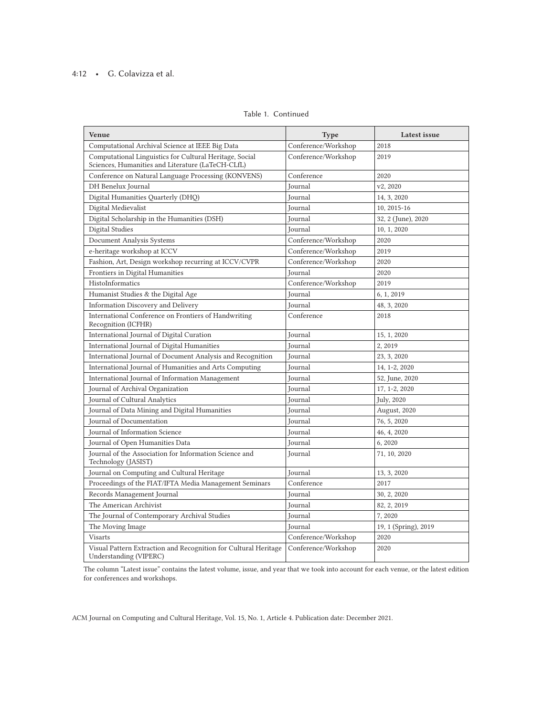# 4:12 • G. Colavizza et al.

#### Table 1. Continued

| Venue                                                                                                        | <b>Type</b>         | Latest issue         |
|--------------------------------------------------------------------------------------------------------------|---------------------|----------------------|
| Computational Archival Science at IEEE Big Data                                                              | Conference/Workshop | 2018                 |
| Computational Linguistics for Cultural Heritage, Social<br>Sciences, Humanities and Literature (LaTeCH-CLfL) | Conference/Workshop | 2019                 |
| Conference on Natural Language Processing (KONVENS)                                                          | Conference          | 2020                 |
| DH Benelux Journal                                                                                           | Journal             | v2.2020              |
| Digital Humanities Quarterly (DHQ)                                                                           | Journal             | 14, 3, 2020          |
| Digital Medievalist                                                                                          | Journal             | 10, 2015-16          |
| Digital Scholarship in the Humanities (DSH)                                                                  | Journal             | 32, 2 (June), 2020   |
| <b>Digital Studies</b>                                                                                       | Journal             | 10, 1, 2020          |
| Document Analysis Systems                                                                                    | Conference/Workshop | 2020                 |
| e-heritage workshop at ICCV                                                                                  | Conference/Workshop | 2019                 |
| Fashion, Art, Design workshop recurring at ICCV/CVPR                                                         | Conference/Workshop | 2020                 |
| Frontiers in Digital Humanities                                                                              | Journal             | 2020                 |
| HistoInformatics                                                                                             | Conference/Workshop | 2019                 |
| Humanist Studies & the Digital Age                                                                           | Journal             | 6, 1, 2019           |
| Information Discovery and Delivery                                                                           | <b>Journal</b>      | 48, 3, 2020          |
| International Conference on Frontiers of Handwriting<br>Recognition (ICFHR)                                  | Conference          | 2018                 |
| International Journal of Digital Curation                                                                    | Journal             | 15, 1, 2020          |
| International Journal of Digital Humanities                                                                  | Journal             | 2, 2019              |
| International Journal of Document Analysis and Recognition                                                   | Journal             | 23, 3, 2020          |
| International Journal of Humanities and Arts Computing                                                       | Journal             | 14, 1-2, 2020        |
| International Journal of Information Management                                                              | Journal             | 52, June, 2020       |
| Journal of Archival Organization                                                                             | Journal             | 17, 1-2, 2020        |
| Journal of Cultural Analytics                                                                                | Journal             | July, 2020           |
| Journal of Data Mining and Digital Humanities                                                                | Journal             | August, 2020         |
| Journal of Documentation                                                                                     | Journal             | 76, 5, 2020          |
| Journal of Information Science                                                                               | Journal             | 46, 4, 2020          |
| Journal of Open Humanities Data                                                                              | Journal             | 6, 2020              |
| Journal of the Association for Information Science and<br>Technology (JASIST)                                | Journal             | 71, 10, 2020         |
| Journal on Computing and Cultural Heritage                                                                   | Journal             | 13, 3, 2020          |
| Proceedings of the FIAT/IFTA Media Management Seminars                                                       | Conference          | 2017                 |
| Records Management Journal                                                                                   | Journal             | 30, 2, 2020          |
| The American Archivist                                                                                       | Journal             | 82, 2, 2019          |
| The Journal of Contemporary Archival Studies                                                                 | Journal             | 7,2020               |
| The Moving Image                                                                                             | Journal             | 19, 1 (Spring), 2019 |
| <b>Visarts</b>                                                                                               | Conference/Workshop | 2020                 |
| Visual Pattern Extraction and Recognition for Cultural Heritage<br>Understanding (VIPERC)                    | Conference/Workshop | 2020                 |

The column "Latest issue" contains the latest volume, issue, and year that we took into account for each venue, or the latest edition for conferences and workshops.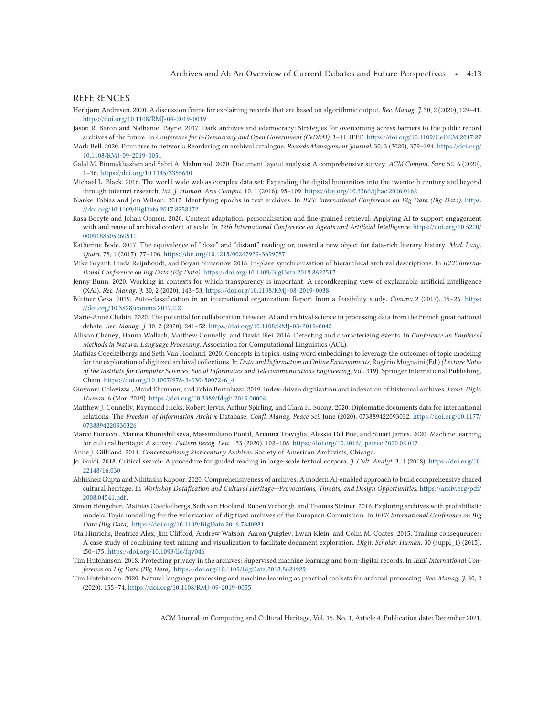#### <span id="page-13-0"></span>REFERENCES

- Herbjørn Andresen. 2020. A discussion frame for explaining records that are based on algorithmic output. *Rec. Manag. J.* 30, 2 (2020), 129–41. <https://doi.org/10.1108/RMJ-04-2019-0019>
- Jason R. Baron and Nathaniel Payne. 2017. Dark archives and edemocracy: Strategies for overcoming access barriers to the public record archives of the future. In *Conference for E-Democracy and Open Government (CeDEM)*, 3–11. IEEE. <https://doi.org/10.1109/CeDEM.2017.27>
- Mark Bell. 2020. From tree to network: Reordering an archival catalogue. *Records Management Journal*. 30, 3 (2020), 379–394. [https://doi.org/](https://doi.org/10.1108/RMJ-09-2019-0051) [10.1108/RMJ-09-2019-0051](https://doi.org/10.1108/RMJ-09-2019-0051)
- Galal M. Binmakhashen and Sabri A. Mahmoud. 2020. Document layout analysis: A comprehensive survey. *ACM Comput. Surv.* 52, 6 (2020), 1–36. <https://doi.org/10.1145/3355610>
- Michael L. Black. 2016. The world wide web as complex data set: Expanding the digital humanities into the twentieth century and beyond through internet research. *Int. J. Human. Arts Comput.* 10, 1 (2016), 95–109. <https://doi.org/10.3366/ijhac.2016.0162>
- Blanke Tobias and Jon Wilson. 2017. Identifying epochs in text archives. In *IEEE International Conference on Big Data (Big Data)*. [https:](https://doi.org/10.1109/BigData.2017.8258172) [//doi.org/10.1109/BigData.2017.8258172](https://doi.org/10.1109/BigData.2017.8258172)
- Rasa Bocyte and Johan Oomen. 2020. Content adaptation, personalisation and fine-grained retrieval: Applying AI to support engagement with and reuse of archival content at scale. In *12th International Conference on Agents and Artificial Intelligence*. [https://doi.org/10.5220/](https://doi.org/10.5220/0009188505060511) [0009188505060511](https://doi.org/10.5220/0009188505060511)
- Katherine Bode. 2017. The equivalence of "close" and "distant" reading; or, toward a new object for data-rich literary history. *Mod. Lang. Quart.* 78, 1 (2017), 77–106. <https://doi.org/10.1215/00267929-3699787>
- Mike Bryant, Linda Reijnhoudt, and Boyan Simeonov. 2018. In-place synchronisation of hierarchical archival descriptions. In *IEEE International Conference on Big Data (Big Data)*. <https://doi.org/10.1109/BigData.2018.8622517>
- Jenny Bunn. 2020. Working in contexts for which transparency is important: A recordkeeping view of explainable artificial intelligence (XAI). *Rec. Manag. J.* 30, 2 (2020), 143–53. <https://doi.org/10.1108/RMJ-08-2019-0038>
- Büttner Gesa. 2019. Auto-classification in an international organization: Report from a feasibility study. *Comma* 2 (2017), 15–26. [https:](https://doi.org/10.3828/comma.2017.2.2) [//doi.org/10.3828/comma.2017.2.2](https://doi.org/10.3828/comma.2017.2.2)
- Marie-Anne Chabin. 2020. The potential for collaboration between AI and archival science in processing data from the French great national debate. *Rec. Manag. J.* 30, 2 (2020), 241–52. <https://doi.org/10.1108/RMJ-08-2019-0042>
- Allison Chaney, Hanna Wallach, Matthew Connelly, and David Blei. 2016. Detecting and characterizing events. In *Conference on Empirical Methods in Natural Language Processing*. Association for Computational Linguistics (ACL).
- Mathias Coeckelbergs and Seth Van Hooland. 2020. Concepts in topics. using word embeddings to leverage the outcomes of topic modeling for the exploration of digitized archival collections. In *Data and Information in Online Environments*, Rogério Mugnaini (Ed.) *(Lecture Notes of the Institute for Computer Sciences, Social Informatics and Telecommunications Engineering,* Vol. 319). Springer International Publishing, Cham. [https://doi.org/10.1007/978-3-030-50072-6\\_4](https://doi.org/10.1007/978-3-030-50072-6_4)
- Giovanni Colavizza , Maud Ehrmann, and Fabio Bortoluzzi. 2019. Index-driven digitization and indexation of historical archives. *Front. Digit. Human.* 6 (Mar. 2019). <https://doi.org/10.3389/fdigh.2019.00004>
- Matthew J. Connelly, Raymond Hicks, Robert Jervis, Arthur Spirling, and Clara H. Suong. 2020. Diplomatic documents data for international relations: The *Freedom of Information Archive* Database. *Confl. Manag. Peace Sci.* June (2020), 073889422093032. [https://doi.org/10.1177/](https://doi.org/10.1177/0738894220930326) [0738894220930326](https://doi.org/10.1177/0738894220930326)
- Marco Fiorucci , Marina Khoroshiltseva, Massimiliano Pontil, Arianna Traviglia, Alessio Del Bue, and Stuart James. 2020. Machine learning for cultural heritage: A survey. *Pattern Recog. Lett.* 133 (2020), 102–108. <https://doi.org/10.1016/j.patrec.2020.02.017>
- Anne J. Gilliland. 2014. *Conceptualizing 21st-century Archives*. Society of American Archivists, Chicago.
- Jo. Guldi. 2018. Critical search: A procedure for guided reading in large-scale textual corpora. *J. Cult. Analyt.* 3, 1 (2018). [https://doi.org/10.](https://doi.org/10.22148/16.030) [22148/16.030](https://doi.org/10.22148/16.030)
- Abhishek Gupta and Nikitasha Kapoor. 2020. Comprehensiveness of archives: A modern AI-enabled approach to build comprehensive shared cultural heritage. In *Workshop Datafication and Cultural Heritage—Provocations, Threats, and Design Opportunities*. [https://arxiv.org/pdf/](https://arxiv.org/pdf/2008.04541.pdf) [2008.04541.pdf.](https://arxiv.org/pdf/2008.04541.pdf)
- Simon Hengchen, Mathias Coeckelbergs, Seth van Hooland, Ruben Verborgh, and Thomas Steiner. 2016. Exploring archives with probabilistic models: Topic modelling for the valorisation of digitised archives of the European Commission. In *IEEE International Conference on Big Data (Big Data)*. <https://doi.org/10.1109/BigData.2016.7840981>
- Uta Hinrichs, Beatrice Alex, Jim Clifford, Andrew Watson, Aaron Quigley, Ewan Klein, and Colin M. Coates. 2015. Trading consequences: A case study of combining text mining and visualization to facilitate document exploration. *Digit. Scholar. Human.* 30 (suppl\_1) (2015). i50–i75. <https://doi.org/10.1093/llc/fqv046>
- Tim Hutchinson. 2018. Protecting privacy in the archives: Supervised machine learning and born-digital records. In *IEEE International Conference on Big Data (Big Data)*. <https://doi.org/10.1109/BigData.2018.8621929>
- Tim Hutchinson. 2020. Natural language processing and machine learning as practical toolsets for archival processing. *Rec. Manag. J.* 30, 2 (2020), 155–74. <https://doi.org/10.1108/RMJ-09-2019-0055>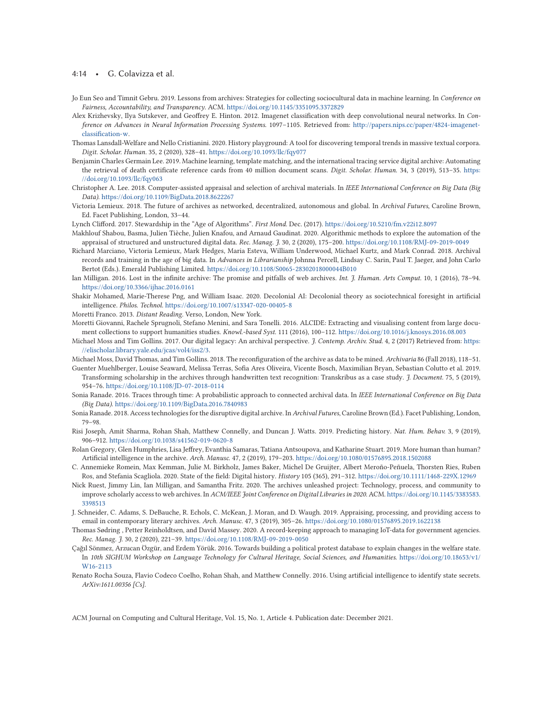#### <span id="page-14-0"></span>4:14 • G. Colavizza et al.

- Jo Eun Seo and Timnit Gebru. 2019. Lessons from archives: Strategies for collecting sociocultural data in machine learning. In *Conference on Fairness, Accountability, and Transparency.* ACM. <https://doi.org/10.1145/3351095.3372829>
- Alex Krizhevsky, Ilya Sutskever, and Geoffrey E. Hinton. 2012. Imagenet classification with deep convolutional neural networks. In *Conference on Advances in Neural Information Processing Systems.* 1097–1105. Retrieved from: [http://papers.nips.cc/paper/4824-imagenet](http://papers.nips.cc/paper/4824-imagenet-classification-w)[classification-w.](http://papers.nips.cc/paper/4824-imagenet-classification-w)
- Thomas Lansdall-Welfare and Nello Cristianini. 2020. History playground: A tool for discovering temporal trends in massive textual corpora. *Digit. Scholar. Human.* 35, 2 (2020), 328–41. <https://doi.org/10.1093/llc/fqy077>
- Benjamin Charles Germain Lee. 2019. Machine learning, template matching, and the international tracing service digital archive: Automating the retrieval of death certificate reference cards from 40 million document scans. *Digit. Scholar. Human.* 34, 3 (2019), 513–35. [https:](https://doi.org/10.1093/llc/fqy063) [//doi.org/10.1093/llc/fqy063](https://doi.org/10.1093/llc/fqy063)
- Christopher A. Lee. 2018. Computer-assisted appraisal and selection of archival materials. In *IEEE International Conference on Big Data (Big Data)*. <https://doi.org/10.1109/BigData.2018.8622267>
- Victoria Lemieux. 2018. The future of archives as networked, decentralized, autonomous and global. In *Archival Futures*, Caroline Brown, Ed. Facet Publishing, London, 33–44.

Lynch Clifford. 2017. Stewardship in the "Age of Algorithms". *First Mond*. Dec. (2017). <https://doi.org/10.5210/fm.v22i12.8097>

- Makhlouf Shabou, Basma, Julien Tièche, Julien Knafou, and Arnaud Gaudinat. 2020. Algorithmic methods to explore the automation of the appraisal of structured and unstructured digital data. *Rec. Manag. J.* 30, 2 (2020), 175–200. <https://doi.org/10.1108/RMJ-09-2019-0049>
- Richard Marciano, Victoria Lemieux, Mark Hedges, Maria Esteva, William Underwood, Michael Kurtz, and Mark Conrad. 2018. Archival records and training in the age of big data. In *Advances in Librarianship* Johnna Percell, Lindsay C. Sarin, Paul T. Jaeger, and John Carlo Bertot (Eds.). Emerald Publishing Limited. <https://doi.org/10.1108/S0065-28302018000044B010>
- Ian Milligan. 2016. Lost in the infinite archive: The promise and pitfalls of web archives. *Int. J. Human. Arts Comput.* 10, 1 (2016), 78–94. <https://doi.org/10.3366/ijhac.2016.0161>
- Shakir Mohamed, Marie-Therese Png, and William Isaac. 2020. Decolonial AI: Decolonial theory as sociotechnical foresight in artificial intelligence. *Philos. Technol.* <https://doi.org/10.1007/s13347-020-00405-8>
- Moretti Franco. 2013. *Distant Reading*. Verso, London, New York.
- Moretti Giovanni, Rachele Sprugnoli, Stefano Menini, and Sara Tonelli. 2016. ALCIDE: Extracting and visualising content from large document collections to support humanities studies. *Knowl.-based Syst.* 111 (2016), 100–112. <https://doi.org/10.1016/j.knosys.2016.08.003>
- Michael Moss and Tim Gollins. 2017. Our digital legacy: An archival perspective. *J. Contemp. Archiv. Stud.* 4, 2 (2017) Retrieved from: [https:](https://elischolar.library.yale.edu/jcas/vol4/iss2/3) [//elischolar.library.yale.edu/jcas/vol4/iss2/3.](https://elischolar.library.yale.edu/jcas/vol4/iss2/3)
- Michael Moss, David Thomas, and Tim Gollins. 2018. The reconfiguration of the archive as data to be mined. *Archivaria* 86 (Fall 2018), 118–51. Guenter Muehlberger, Louise Seaward, Melissa Terras, Sofia Ares Oliveira, Vicente Bosch, Maximilian Bryan, Sebastian Colutto et al. 2019.
- Transforming scholarship in the archives through handwritten text recognition: Transkribus as a case study. *J. Document.* 75, 5 (2019), 954–76. <https://doi.org/10.1108/JD-07-2018-0114>
- Sonia Ranade. 2016. Traces through time: A probabilistic approach to connected archival data. In *IEEE International Conference on Big Data (Big Data)*. <https://doi.org/10.1109/BigData.2016.7840983>
- Sonia Ranade. 2018. Access technologies for the disruptive digital archive. In *Archival Futures*, Caroline Brown (Ed.). Facet Publishing, London, 79–98.
- Risi Joseph, Amit Sharma, Rohan Shah, Matthew Connelly, and Duncan J. Watts. 2019. Predicting history. *Nat. Hum. Behav.* 3, 9 (2019), 906–912. <https://doi.org/10.1038/s41562-019-0620-8>
- Rolan Gregory, Glen Humphries, Lisa Jeffrey, Evanthia Samaras, Tatiana Antsoupova, and Katharine Stuart. 2019. More human than human? Artificial intelligence in the archive. *Arch. Manusc*. 47, 2 (2019), 179–203. <https://doi.org/10.1080/01576895.2018.1502088>
- C. Annemieke Romein, Max Kemman, Julie M. Birkholz, James Baker, Michel De Gruijter, Albert Meroño-Peñuela, Thorsten Ries, Ruben Ros, and Stefania Scagliola. 2020. State of the field: Digital history. *History* 105 (365), 291–312. <https://doi.org/10.1111/1468-229X.12969>
- Nick Ruest, Jimmy Lin, Ian Milligan, and Samantha Fritz. 2020. The archives unleashed project: Technology, process, and community to improve scholarly access to web archives. In *ACM/IEEE Joint Conference on Digital Libraries in 2020*. ACM. [https://doi.org/10.1145/3383583.](https://doi.org/10.1145/3383583.3398513) [3398513](https://doi.org/10.1145/3383583.3398513)
- J. Schneider, C. Adams, S. DeBauche, R. Echols, C. McKean, J. Moran, and D. Waugh. 2019. Appraising, processing, and providing access to email in contemporary literary archives. *Arch. Manusc.* 47, 3 (2019), 305–26. <https://doi.org/10.1080/01576895.2019.1622138>
- Thomas Sødring , Petter Reinholdtsen, and David Massey. 2020. A record-keeping approach to managing IoT-data for government agencies. *Rec. Manag. J.* 30, 2 (2020), 221–39. <https://doi.org/10.1108/RMJ-09-2019-0050>
- Çağıl Sönmez, Arzucan Özgür, and Erdem Yörük. 2016. Towards building a political protest database to explain changes in the welfare state. In *10th SIGHUM Workshop on Language Technology for Cultural Heritage, Social Sciences, and Humanities*. [https://doi.org/10.18653/v1/](https://doi.org/10.18653/v1/W16-2113) [W16-2113](https://doi.org/10.18653/v1/W16-2113)
- Renato Rocha Souza, Flavio Codeco Coelho, Rohan Shah, and Matthew Connelly. 2016. Using artificial intelligence to identify state secrets. *ArXiv:1611.00356 [Cs].*